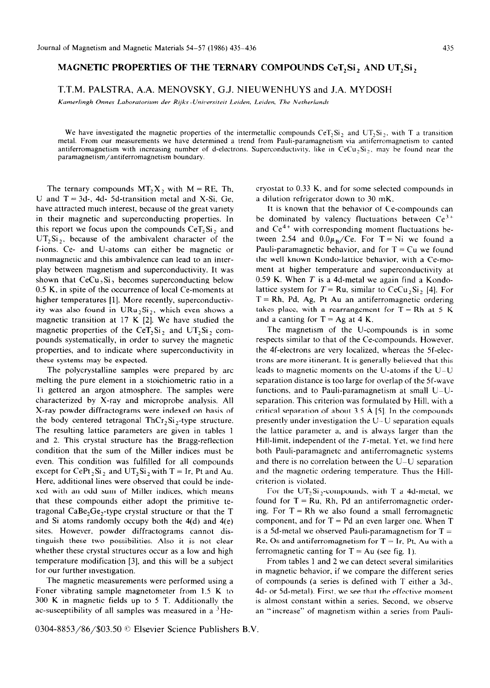## **MAGNETIC PROPERTIES OF THE TERNARY COMPOUNDS CeT, Si, AND UT, Si,**

## T.T.M. PALSTRA, A.A. MENOVSKY, G.J. NIEUWENHUYS and J.A. MYDOSH

Kamerlingh Onnes Laboratorium der Rijks -Universiteit Leiden, Leiden, The Netherlands

We have investigated the magnetic properties of the intermetallic compounds CeT<sub>2</sub>Si<sub>2</sub>, and UT<sub>2</sub>Si<sub>2</sub>, with T a transition metal. From our measurements we have determined a trend from Pauli-paramagnetism via antiferromagnetism to canted antiferromagnetism with increasing number of d-electrons. Superconductivity, like in  $CeCu<sub>2</sub>Si<sub>2</sub>$ , may be found near the paramagnetism/antiferromagnetism boundary.

The ternary compounds  $MT_2X_2$  with  $M = RE$ . Th, U and  $T = 3d$ -, 4d- 5d-transition metal and X-Si, Ge, have attracted much interest, because of the great variety in their magnetic and superconducting properties. In this report we focus upon the compounds  $CeT_2Si_2$ , and  $UT_2Si_2$ , because of the ambivalent character of the f-ions. Ce- and U-atoms can either be magnetic or nonmagnetic and this ambivalence can lead to an interplay between magnetism and superconductivity. It was shown that  $CeCu<sub>2</sub>Si$ , becomes superconducting below 0.5 K. in spite of the occurrence of local Ce-moments at higher temperatures [1]. More recently, superconductivity was also found in  $URu_2Si_2$ , which even shows a magnetic transition at 17 K [2]. We have studied the magnetic properties of the CeT<sub>2</sub>Si<sub>2</sub> and UT<sub>2</sub>Si<sub>2</sub> compounds systematically, in order to survey the magnetic properties, and to indicate where superconductivity in these systems may be expected.

The polycrystalline samples were prepared by arc melting the pure element in a stoichiometric ratio in a Ti gettered an argon atmosphere. The samples were characterized by X-ray and microprobe analysis. All X-ray powder diffractograms were indexed on basis of the body centered tetragonal ThCr,Si,-type structure. The resulting lattice parameters are given in tables 1 and 2. This crystal structure has the Bragg-reflection condition that the sum of the Miller indices must be even. This condition was fulfilled for all compounds except for CePt<sub>2</sub>Si<sub>2</sub> and UT<sub>2</sub>Si<sub>2</sub> with T = Ir, Pt and Au. Here, additional lines were observed that could be indexed with an odd sum of Miller indices, which means that these compounds either adopt the primitive tetragonal CaBe,Ge,-type crystal structure or that the T and Si atoms randomly occupy both the  $4(d)$  and  $4(e)$ sites. However, powder diffractograms cannot distinguish these two possibilities. Also it is not clear whether these crystal structures occur as a low and high temperature modification [3], and this will be a subject for our further investigation.

The magnetic measurements were performed using a Foner vibrating sample magnetometer from 1.5 K to 300 K in magnetic fields up to 5 T. Additionally the ac-susceptibility of all samples was measured in a  ${}^{3}$ Hecryostat to 0.33 K. and for some selected compounds in a dilution refrigerator down to 30 mK.

It is known that the behavior of Ce-compounds can be dominated by valency fluctuations between  $Ce^{3+}$ and  $Ce^{4+}$  with corresponding moment fluctuations between 2.54 and  $0.0\mu_B/Ce$ . For T = Ni we found a Pauli-paramagnetic behavior, and for  $T = Cu$  we found the well known Kondo-lattice behavior, with a Ce-moment at higher temperature and superconductivity at 0.59 K. When  $T$  is a 4d-metal we again find a Kondolattice system for  $T = Ru$ , similar to CeCu<sub>2</sub>Si<sub>2</sub> [4]. For  $T = Rh$ , Pd, Ag, Pt Au an antiferromagnetic ordering takes place, with a rearrangement for  $T = Rh$  at 5 K and a canting for  $T = Ag$  at 4 K.

The magnetism of the U-compounds is in some respects similar to that of the Ce-compounds. However, the 4f-electrons are very localized, whereas the 5f-electrons are more itinerant. It is generally believed that this leads to magnetic moments on the U-atoms if the  $U-U$ separation distance is too large for overlap of the 5f-wave functions, and to Pauli-paramagnetism at small  $U-U$ separation. This criterion was formulated by Hill. with a critical separation of about  $3.5 \text{ Å}$  [5]. In the compounds presently under investigation the U-U separation equals the lattice parameter a, and is always larger than the Hill-limit, independent of the T-metal. Yet. we find here both Pauli-paramagnetc and antiferromagnetic systems and there is no correlation between the U-U separation and the magnetic ordering temperature. Thus the Hillcriterion is violated.

For the UT<sub>2</sub>Si<sub>2</sub>-compounds, with T a 4d-metal, we found for  $T = Ru$ , Rh, Pd an antiferromagnetic ordering. For  $T = Rh$  we also found a small ferromagnetic component, and for  $T = Pd$  an even larger one. When  $T$ is a 5d-metal we observed Pauli-paramagnetism for  $T =$ Re, Os and antiferromagnetism for  $T = Ir$ , Pt, Au with a ferromagnetic canting for  $T = Au$  (see fig. 1).

From tables 1 and 2 we can detect several similarities in magnetic behavior, if we compare the different series of compounds (a series is defined with T either a 3d-. 4d- or Sd-metal). First, we see that the effective moment is almost constant within a series. Second, we observe an "increase" of magnetism within a series from Pauli-